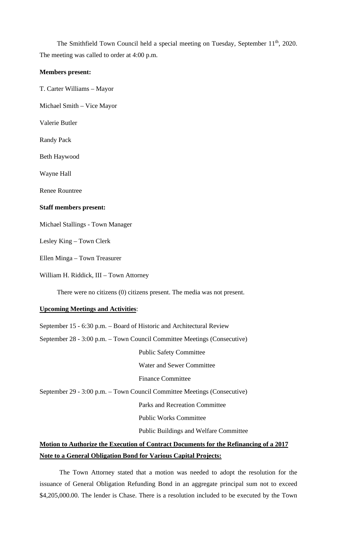The Smithfield Town Council held a special meeting on Tuesday, September 11<sup>th</sup>, 2020. The meeting was called to order at 4:00 p.m.

## **Members present:**

T. Carter Williams – Mayor

Michael Smith – Vice Mayor

Valerie Butler

Randy Pack

Beth Haywood

Wayne Hall

Renee Rountree

## **Staff members present:**

Michael Stallings - Town Manager

Lesley King – Town Clerk

Ellen Minga – Town Treasurer

William H. Riddick, III – Town Attorney

There were no citizens (0) citizens present. The media was not present.

## **Upcoming Meetings and Activities**:

September 15 - 6:30 p.m. – Board of Historic and Architectural Review

September 28 - 3:00 p.m. – Town Council Committee Meetings (Consecutive)

Public Safety Committee

Water and Sewer Committee

Finance Committee

September 29 - 3:00 p.m. – Town Council Committee Meetings (Consecutive)

Parks and Recreation Committee

Public Works Committee

Public Buildings and Welfare Committee

## **Motion to Authorize the Execution of Contract Documents for the Refinancing of a 2017 Note to a General Obligation Bond for Various Capital Projects:**

The Town Attorney stated that a motion was needed to adopt the resolution for the issuance of General Obligation Refunding Bond in an aggregate principal sum not to exceed \$4,205,000.00. The lender is Chase. There is a resolution included to be executed by the Town